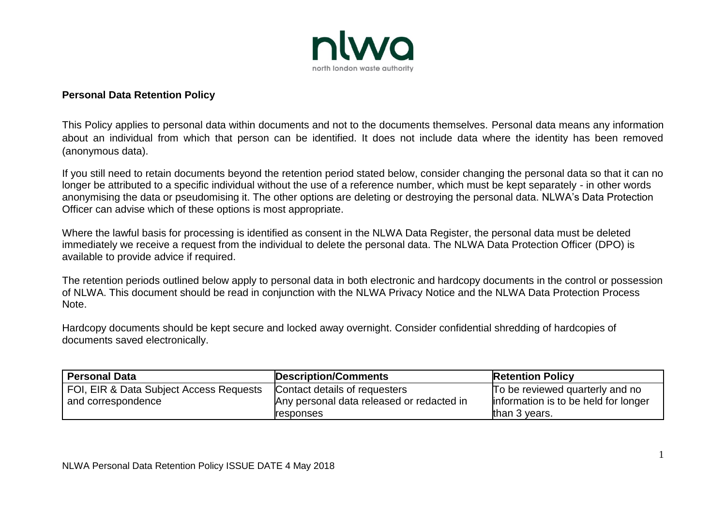

## **Personal Data Retention Policy**

This Policy applies to personal data within documents and not to the documents themselves. Personal data means any information about an individual from which that person can be identified. It does not include data where the identity has been removed (anonymous data).

If you still need to retain documents beyond the retention period stated below, consider changing the personal data so that it can no longer be attributed to a specific individual without the use of a reference number, which must be kept separately - in other words anonymising the data or pseudomising it. The other options are deleting or destroying the personal data. NLWA's Data Protection Officer can advise which of these options is most appropriate.

Where the lawful basis for processing is identified as consent in the NLWA Data Register, the personal data must be deleted immediately we receive a request from the individual to delete the personal data. The NLWA Data Protection Officer (DPO) is available to provide advice if required.

The retention periods outlined below apply to personal data in both electronic and hardcopy documents in the control or possession of NLWA. This document should be read in conjunction with the NLWA Privacy Notice and the NLWA Data Protection Process Note.

Hardcopy documents should be kept secure and locked away overnight. Consider confidential shredding of hardcopies of documents saved electronically.

| <b>Personal Data</b>                    | Description/Comments                      | <b>Retention Policy</b>               |
|-----------------------------------------|-------------------------------------------|---------------------------------------|
| FOI, EIR & Data Subject Access Requests | Contact details of requesters             | To be reviewed quarterly and no       |
| and correspondence                      | Any personal data released or redacted in | linformation is to be held for longer |
|                                         | <b>responses</b>                          | than 3 years.                         |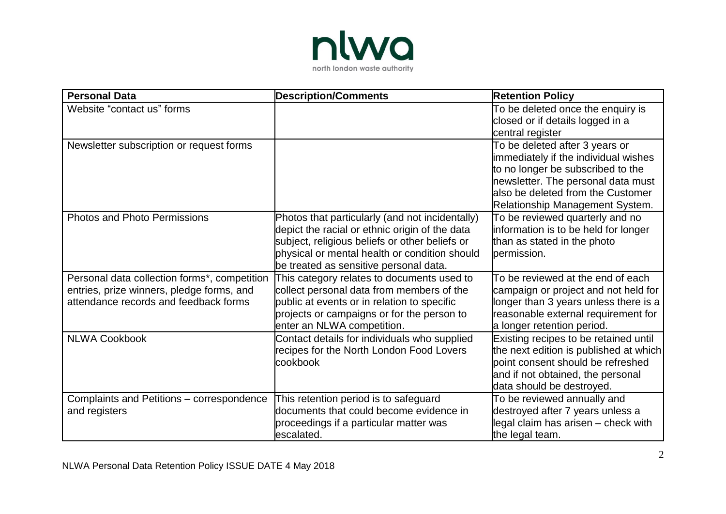

| <b>Personal Data</b>                         | <b>Description/Comments</b>                                                                      | <b>Retention Policy</b>                                             |
|----------------------------------------------|--------------------------------------------------------------------------------------------------|---------------------------------------------------------------------|
| Website "contact us" forms                   |                                                                                                  | To be deleted once the enquiry is                                   |
|                                              |                                                                                                  | closed or if details logged in a                                    |
|                                              |                                                                                                  | central register                                                    |
| Newsletter subscription or request forms     |                                                                                                  | To be deleted after 3 years or                                      |
|                                              |                                                                                                  | immediately if the individual wishes                                |
|                                              |                                                                                                  | to no longer be subscribed to the                                   |
|                                              |                                                                                                  | newsletter. The personal data must                                  |
|                                              |                                                                                                  | lalso be deleted from the Customer                                  |
|                                              |                                                                                                  | Relationship Management System.                                     |
| <b>Photos and Photo Permissions</b>          | Photos that particularly (and not incidentally)                                                  | To be reviewed quarterly and no                                     |
|                                              | depict the racial or ethnic origin of the data<br>subject, religious beliefs or other beliefs or | information is to be held for longer<br>than as stated in the photo |
|                                              | physical or mental health or condition should                                                    | permission.                                                         |
|                                              | be treated as sensitive personal data.                                                           |                                                                     |
| Personal data collection forms*, competition | This category relates to documents used to                                                       | To be reviewed at the end of each                                   |
| entries, prize winners, pledge forms, and    | collect personal data from members of the                                                        | campaign or project and not held for                                |
| attendance records and feedback forms        | public at events or in relation to specific                                                      | longer than 3 years unless there is a                               |
|                                              | projects or campaigns or for the person to                                                       | reasonable external requirement for                                 |
|                                              | enter an NLWA competition.                                                                       | a longer retention period.                                          |
| <b>NLWA Cookbook</b>                         | Contact details for individuals who supplied                                                     | Existing recipes to be retained until                               |
|                                              | recipes for the North London Food Lovers                                                         | the next edition is published at which                              |
|                                              | cookbook                                                                                         | point consent should be refreshed                                   |
|                                              |                                                                                                  | and if not obtained, the personal                                   |
|                                              |                                                                                                  | data should be destroyed.                                           |
| Complaints and Petitions - correspondence    | This retention period is to safeguard                                                            | To be reviewed annually and                                         |
| and registers                                | documents that could become evidence in                                                          | destroyed after 7 years unless a                                    |
|                                              | proceedings if a particular matter was                                                           | legal claim has arisen - check with                                 |
|                                              | escalated.                                                                                       | the legal team.                                                     |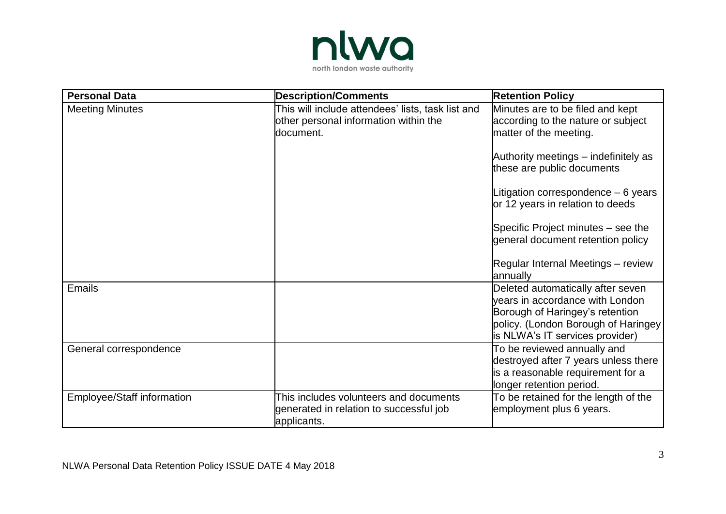

| <b>Personal Data</b>       | <b>Description/Comments</b>                                                                             | <b>Retention Policy</b>                                                                                                                                                           |
|----------------------------|---------------------------------------------------------------------------------------------------------|-----------------------------------------------------------------------------------------------------------------------------------------------------------------------------------|
| <b>Meeting Minutes</b>     | This will include attendees' lists, task list and<br>other personal information within the<br>document. | Minutes are to be filed and kept<br>according to the nature or subject<br>matter of the meeting.                                                                                  |
|                            |                                                                                                         | Authority meetings – indefinitely as<br>these are public documents                                                                                                                |
|                            |                                                                                                         | Litigation correspondence $-6$ years<br>or 12 years in relation to deeds                                                                                                          |
|                            |                                                                                                         | Specific Project minutes – see the<br>general document retention policy                                                                                                           |
|                            |                                                                                                         | Regular Internal Meetings - review<br>annually                                                                                                                                    |
| Emails                     |                                                                                                         | Deleted automatically after seven<br>years in accordance with London<br>Borough of Haringey's retention<br>policy. (London Borough of Haringey<br>is NLWA's IT services provider) |
| General correspondence     |                                                                                                         | To be reviewed annually and<br>destroyed after 7 years unless there<br>is a reasonable requirement for a<br>longer retention period.                                              |
| Employee/Staff information | This includes volunteers and documents<br>generated in relation to successful job<br>applicants.        | To be retained for the length of the<br>employment plus 6 years.                                                                                                                  |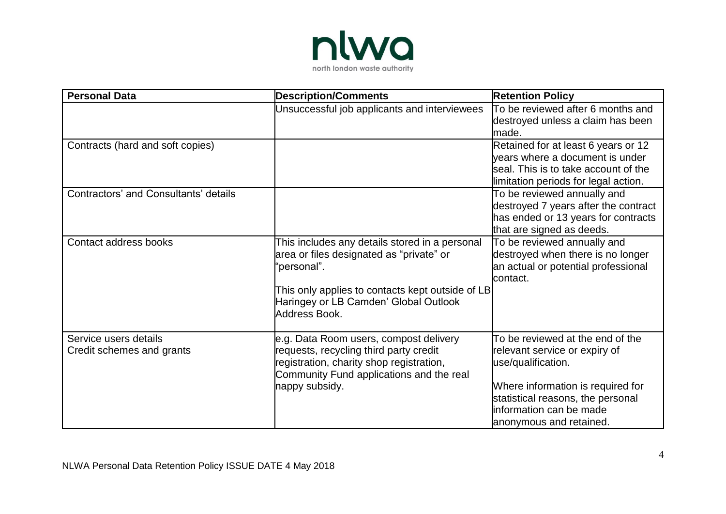

| <b>Personal Data</b>                               | <b>Description/Comments</b>                                                                                                                                                                                             | <b>Retention Policy</b>                                                                                                                                                                                                 |
|----------------------------------------------------|-------------------------------------------------------------------------------------------------------------------------------------------------------------------------------------------------------------------------|-------------------------------------------------------------------------------------------------------------------------------------------------------------------------------------------------------------------------|
|                                                    | Unsuccessful job applicants and interviewees                                                                                                                                                                            | To be reviewed after 6 months and<br>destroyed unless a claim has been<br>made.                                                                                                                                         |
| Contracts (hard and soft copies)                   |                                                                                                                                                                                                                         | Retained for at least 6 years or 12<br>years where a document is under<br>seal. This is to take account of the<br>limitation periods for legal action.                                                                  |
| Contractors' and Consultants' details              |                                                                                                                                                                                                                         | To be reviewed annually and<br>destroyed 7 years after the contract<br>has ended or 13 years for contracts<br>that are signed as deeds.                                                                                 |
| Contact address books                              | This includes any details stored in a personal<br>area or files designated as "private" or<br>'personal".<br>This only applies to contacts kept outside of LB<br>Haringey or LB Camden' Global Outlook<br>Address Book. | To be reviewed annually and<br>destroyed when there is no longer<br>an actual or potential professional<br>contact.                                                                                                     |
| Service users details<br>Credit schemes and grants | e.g. Data Room users, compost delivery<br>requests, recycling third party credit<br>registration, charity shop registration,<br>Community Fund applications and the real<br>nappy subsidy.                              | To be reviewed at the end of the<br>relevant service or expiry of<br>use/qualification.<br>Where information is required for<br>statistical reasons, the personal<br>information can be made<br>anonymous and retained. |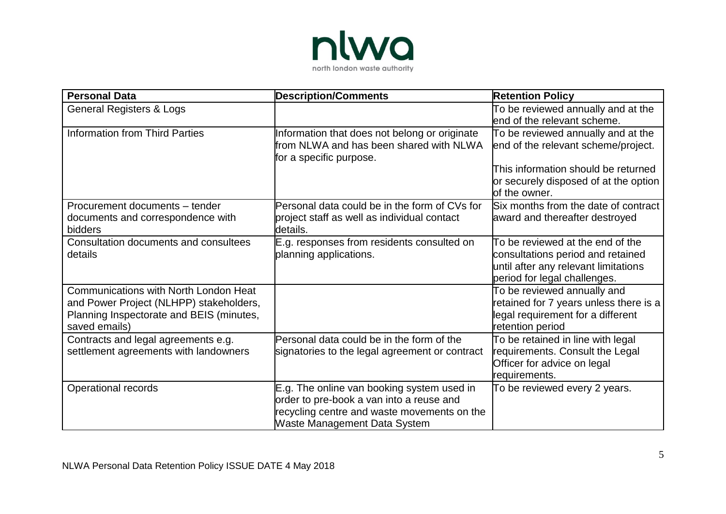

| <b>Personal Data</b>                                                                                                                                 | <b>Description/Comments</b>                                                                                                                                           | <b>Retention Policy</b>                                                                                                                                                    |
|------------------------------------------------------------------------------------------------------------------------------------------------------|-----------------------------------------------------------------------------------------------------------------------------------------------------------------------|----------------------------------------------------------------------------------------------------------------------------------------------------------------------------|
| <b>General Registers &amp; Logs</b>                                                                                                                  |                                                                                                                                                                       | To be reviewed annually and at the<br>lend of the relevant scheme.                                                                                                         |
| <b>Information from Third Parties</b>                                                                                                                | Information that does not belong or originate<br>from NLWA and has been shared with NLWA<br>for a specific purpose.                                                   | To be reviewed annually and at the<br>end of the relevant scheme/project.<br>This information should be returned<br>or securely disposed of at the option<br>of the owner. |
| Procurement documents - tender<br>documents and correspondence with<br>bidders                                                                       | Personal data could be in the form of CVs for<br>project staff as well as individual contact<br>details.                                                              | Six months from the date of contract<br>award and thereafter destroyed                                                                                                     |
| Consultation documents and consultees<br>details                                                                                                     | E.g. responses from residents consulted on<br>planning applications.                                                                                                  | To be reviewed at the end of the<br>consultations period and retained<br>until after any relevant limitations<br>period for legal challenges.                              |
| <b>Communications with North London Heat</b><br>and Power Project (NLHPP) stakeholders,<br>Planning Inspectorate and BEIS (minutes,<br>saved emails) |                                                                                                                                                                       | To be reviewed annually and<br>retained for 7 years unless there is a<br>legal requirement for a different<br>retention period                                             |
| Contracts and legal agreements e.g.<br>settlement agreements with landowners                                                                         | Personal data could be in the form of the<br>signatories to the legal agreement or contract                                                                           | To be retained in line with legal<br>requirements. Consult the Legal<br>Officer for advice on legal<br>requirements.                                                       |
| Operational records                                                                                                                                  | E.g. The online van booking system used in<br>order to pre-book a van into a reuse and<br>recycling centre and waste movements on the<br>Waste Management Data System | To be reviewed every 2 years.                                                                                                                                              |